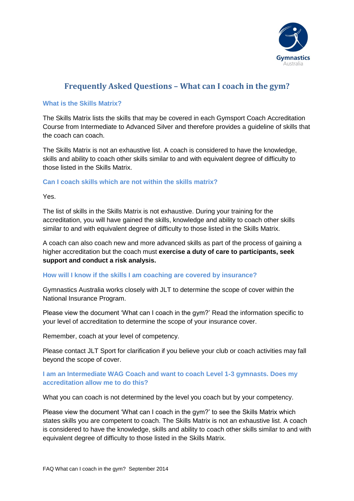

# **Frequently Asked Questions – What can I coach in the gym?**

### **What is the Skills Matrix?**

The Skills Matrix lists the skills that may be covered in each Gymsport Coach Accreditation Course from Intermediate to Advanced Silver and therefore provides a guideline of skills that the coach can coach.

The Skills Matrix is not an exhaustive list. A coach is considered to have the knowledge, skills and ability to coach other skills similar to and with equivalent degree of difficulty to those listed in the Skills Matrix.

## **Can I coach skills which are not within the skills matrix?**

Yes.

The list of skills in the Skills Matrix is not exhaustive. During your training for the accreditation, you will have gained the skills, knowledge and ability to coach other skills similar to and with equivalent degree of difficulty to those listed in the Skills Matrix.

A coach can also coach new and more advanced skills as part of the process of gaining a higher accreditation but the coach must **exercise a duty of care to participants, seek support and conduct a risk analysis.**

#### **How will I know if the skills I am coaching are covered by insurance?**

Gymnastics Australia works closely with JLT to determine the scope of cover within the National Insurance Program.

Please view the document 'What can I coach in the gym?' Read the information specific to your level of accreditation to determine the scope of your insurance cover.

Remember, coach at your level of competency.

Please contact JLT Sport for clarification if you believe your club or coach activities may fall beyond the scope of cover.

# **I am an Intermediate WAG Coach and want to coach Level 1-3 gymnasts. Does my accreditation allow me to do this?**

What you can coach is not determined by the level you coach but by your competency.

Please view the document 'What can I coach in the gym?' to see the Skills Matrix which states skills you are competent to coach. The Skills Matrix is not an exhaustive list. A coach is considered to have the knowledge, skills and ability to coach other skills similar to and with equivalent degree of difficulty to those listed in the Skills Matrix.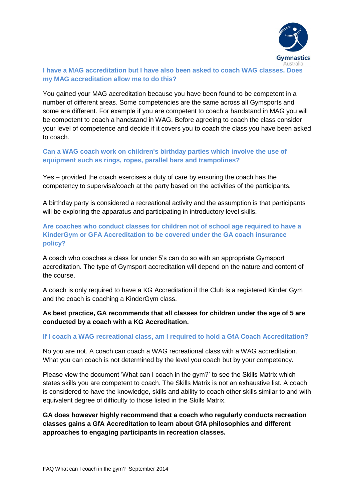

## **I have a MAG accreditation but I have also been asked to coach WAG classes. Does my MAG accreditation allow me to do this?**

You gained your MAG accreditation because you have been found to be competent in a number of different areas. Some competencies are the same across all Gymsports and some are different. For example if you are competent to coach a handstand in MAG you will be competent to coach a handstand in WAG. Before agreeing to coach the class consider your level of competence and decide if it covers you to coach the class you have been asked to coach.

## **Can a WAG coach work on children's birthday parties which involve the use of equipment such as rings, ropes, parallel bars and trampolines?**

Yes – provided the coach exercises a duty of care by ensuring the coach has the competency to supervise/coach at the party based on the activities of the participants.

A birthday party is considered a recreational activity and the assumption is that participants will be exploring the apparatus and participating in introductory level skills.

# **Are coaches who conduct classes for children not of school age required to have a KinderGym or GFA Accreditation to be covered under the GA coach insurance policy?**

A coach who coaches a class for under 5's can do so with an appropriate Gymsport accreditation. The type of Gymsport accreditation will depend on the nature and content of the course.

A coach is only required to have a KG Accreditation if the Club is a registered Kinder Gym and the coach is coaching a KinderGym class.

**As best practice, GA recommends that all classes for children under the age of 5 are conducted by a coach with a KG Accreditation.**

#### **If I coach a WAG recreational class, am I required to hold a GfA Coach Accreditation?**

No you are not. A coach can coach a WAG recreational class with a WAG accreditation. What you can coach is not determined by the level you coach but by your competency.

Please view the document 'What can I coach in the gym?' to see the Skills Matrix which states skills you are competent to coach. The Skills Matrix is not an exhaustive list. A coach is considered to have the knowledge, skills and ability to coach other skills similar to and with equivalent degree of difficulty to those listed in the Skills Matrix.

**GA does however highly recommend that a coach who regularly conducts recreation classes gains a GfA Accreditation to learn about GfA philosophies and different approaches to engaging participants in recreation classes.**